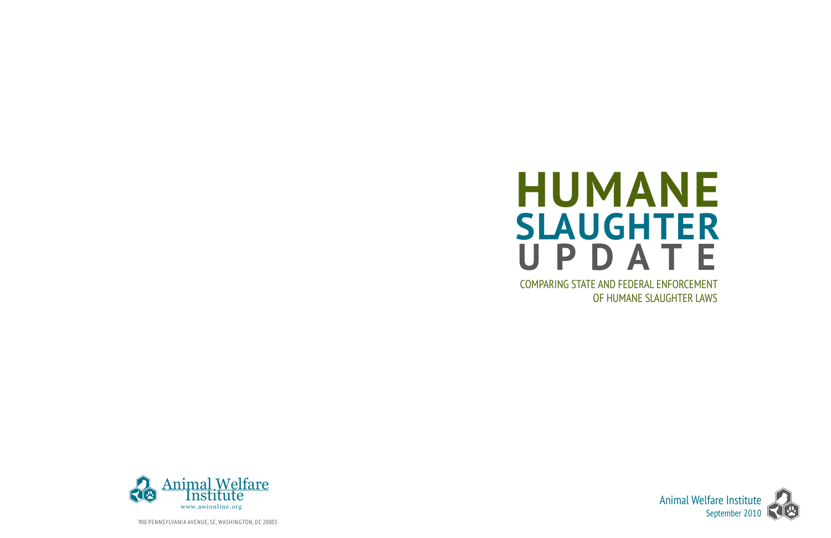





900 PENNSYLVANIA AVENUE, SE, WASHINGTON, DC 20003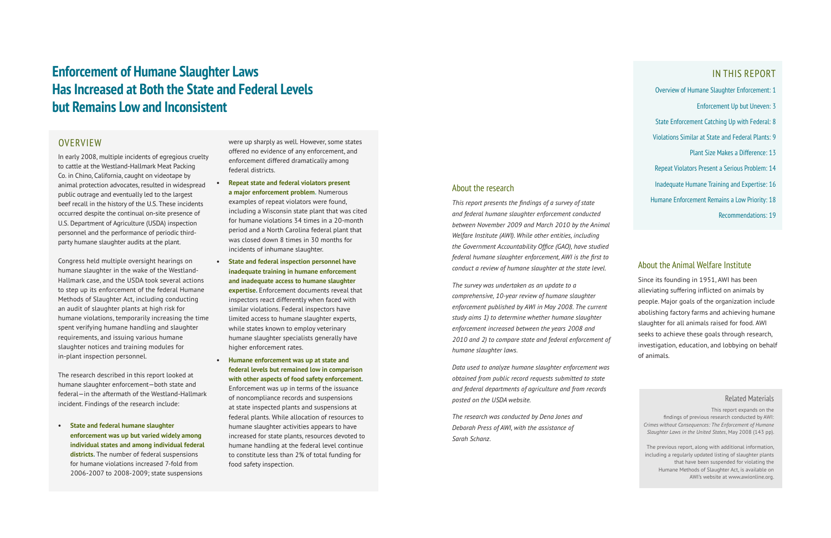### About the research

*This report presents the findings of a survey of state and federal humane slaughter enforcement conducted between November 2009 and March 2010 by the Animal Welfare Institute (AWI). While other entities, including the Government Accountability Office (GAO), have studied federal humane slaughter enforcement, AWI is the first to conduct a review of humane slaughter at the state level.* 

*The survey was undertaken as an update to a comprehensive, 10-year review of humane slaughter enforcement published by AWI in May 2008. The current study aims 1) to determine whether humane slaughter enforcement increased between the years 2008 and 2010 and 2) to compare state and federal enforcement of humane slaughter laws.* 

*Data used to analyze humane slaughter enforcement was obtained from public record requests submitted to state and federal departments of agriculture and from records posted on the USDA website.* 

*The research was conducted by Dena Jones and Deborah Press of AWI, with the assistance of Sarah Schanz.* 

### IN THIS REPORT

Overview of Humane Slaughter Enforcement: 1

- Enforcement Up but Uneven: 3
- State Enforcement Catching Up with Federal: 8
- Violations Similar at State and Federal Plants: 9
	- Plant Size Makes a Difference: 13
- Repeat Violators Present a Serious Problem: 14
- Inadequate Humane Training and Expertise: 16
- Humane Enforcement Remains a Low Priority: 18
	- Recommendations: 19

In early 2008, multiple incidents of egregious cruelty to cattle at the Westland-Hallmark Meat Packing Co. in Chino, California, caught on videotape by animal protection advocates, resulted in widespread public outrage and eventually led to the largest beef recall in the history of the U.S. These incidents occurred despite the continual on-site presence of U.S. Department of Agriculture (USDA) inspection personnel and the performance of periodic thirdparty humane slaughter audits at the plant.

Congress held multiple oversight hearings on humane slaughter in the wake of the Westland-Hallmark case, and the USDA took several actions to step up its enforcement of the federal Humane Methods of Slaughter Act, including conducting an audit of slaughter plants at high risk for humane violations, temporarily increasing the time spent verifying humane handling and slaughter requirements, and issuing various humane slaughter notices and training modules for in-plant inspection personnel.

The research described in this report looked at humane slaughter enforcement—both state and federal—in the aftermath of the Westland-Hallmark incident. Findings of the research include:

**• State and federal humane slaughter enforcement was up but varied widely among individual states and among individual federal districts.** The number of federal suspensions for humane violations increased 7-fold from 2006-2007 to 2008-2009; state suspensions

were up sharply as well. However, some states offered no evidence of any enforcement, and enforcement differed dramatically among federal districts.

- **• Repeat state and federal violators present a major enforcement problem.** Numerous examples of repeat violators were found, including a Wisconsin state plant that was cited for humane violations 34 times in a 20-month period and a North Carolina federal plant that was closed down 8 times in 30 months for incidents of inhumane slaughter.
- **• State and federal inspection personnel have inadequate training in humane enforcement and inadequate access to humane slaughter expertise.** Enforcement documents reveal that inspectors react differently when faced with similar violations. Federal inspectors have limited access to humane slaughter experts, while states known to employ veterinary humane slaughter specialists generally have higher enforcement rates.
- **• Humane enforcement was up at state and federal levels but remained low in comparison with other aspects of food safety enforcement.** Enforcement was up in terms of the issuance of noncompliance records and suspensions at state inspected plants and suspensions at federal plants. While allocation of resources to humane slaughter activities appears to have increased for state plants, resources devoted to humane handling at the federal level continue to constitute less than 2% of total funding for food safety inspection.

# **Enforcement of Humane Slaughter Laws Has Increased at Both the State and Federal Levels but Remains Low and Inconsistent**

## **OVERVIEW**

### Related Materials

This report expands on the findings of previous research conducted by AWI: *Crimes without Consequences: The Enforcement of Humane Slaughter Laws in the United States*, May 2008 (143 pp).

The previous report, along with additional information, including a regularly updated listing of slaughter plants that have been suspended for violating the Humane Methods of Slaughter Act, is available on AWI's website at www.awionline.org.

### About the Animal Welfare Institute

Since its founding in 1951, AWI has been alleviating suffering inflicted on animals by people. Major goals of the organization include abolishing factory farms and achieving humane slaughter for all animals raised for food. AWI seeks to achieve these goals through research, investigation, education, and lobbying on behalf of animals.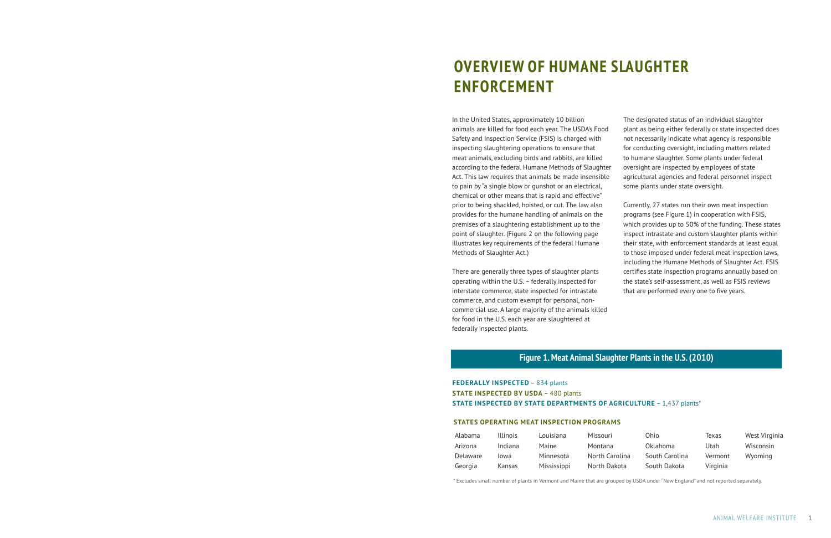In the United States, approximately 10 billion animals are killed for food each year. The USDA's Food Safety and Inspection Service (FSIS) is charged with inspecting slaughtering operations to ensure that meat animals, excluding birds and rabbits, are killed according to the federal Humane Methods of Slaughter Act. This law requires that animals be made insensible to pain by "a single blow or gunshot or an electrical, chemical or other means that is rapid and effective" prior to being shackled, hoisted, or cut. The law also provides for the humane handling of animals on the premises of a slaughtering establishment up to the point of slaughter. (Figure 2 on the following page illustrates key requirements of the federal Humane Methods of Slaughter Act.)

There are generally three types of slaughter plants operating within the U.S. – federally inspected for interstate commerce, state inspected for intrastate commerce, and custom exempt for personal, noncommercial use. A large majority of the animals killed for food in the U.S. each year are slaughtered at federally inspected plants.

The designated status of an individual slaughter plant as being either federally or state inspected does not necessarily indicate what agency is responsible for conducting oversight, including matters related to humane slaughter. Some plants under federal oversight are inspected by employees of state agricultural agencies and federal personnel inspect some plants under state oversight.

Currently, 27 states run their own meat inspection programs (see Figure 1) in cooperation with FSIS, which provides up to 50% of the funding. These states inspect intrastate and custom slaughter plants within their state, with enforcement standards at least equal to those imposed under federal meat inspection laws, including the Humane Methods of Slaughter Act. FSIS certifies state inspection programs annually based on the state's self-assessment, as well as FSIS reviews that are performed every one to five years.

Texas West Virginia

# **OVERVIEW OF HUMANE SLAUGHTER ENFORCEMENT**

### **FEDERALLY INSPECTED** – 834 plants **STATE INSPECTED BY USDA** – 480 plants **STATE INSPECTED BY STATE DEPARTMENTS OF AGRICULTURE** – 1,437 plants\*

| Alabama  | Illinois      | Louisiana    | Missouri       | Ohio           | lexas    | West Virgi |
|----------|---------------|--------------|----------------|----------------|----------|------------|
| Arizona  | Indiana       | <b>Maine</b> | Montana        | Oklahoma       | Utah     | Wisconsin  |
| Delaware | lowa          | Minnesota    | North Carolina | South Carolina | Vermont  | Wyoming    |
| Georgia  | <b>Kansas</b> | Mississippi  | North Dakota   | South Dakota   | Virginia |            |

\* Excludes small number of plants in Vermont and Maine that are grouped by USDA under "New England" and not reported separately.

### **STATES OPERATING MEAT INSPECTION PROGRAMS**

## **Figure 1. Meat Animal Slaughter Plants in the U.S. (2010)**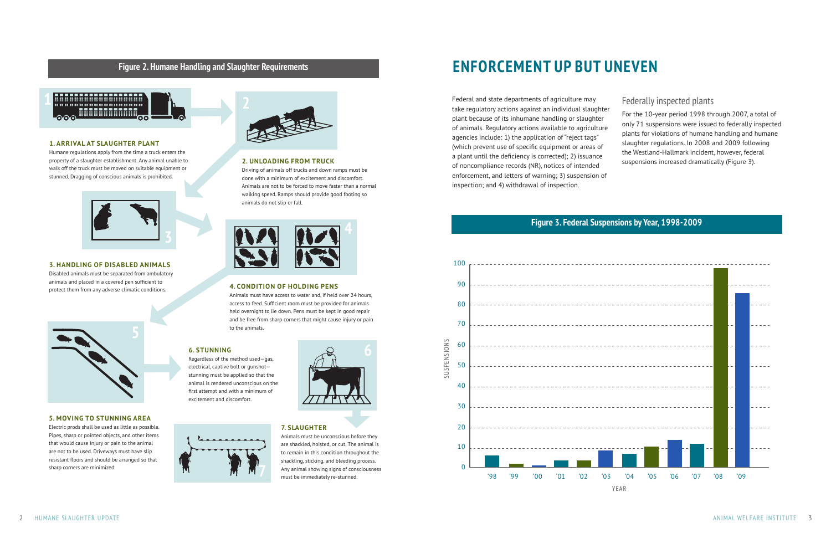# **ENFORCEMENT UP BUT UNEVEN**

Federal and state departments of agriculture may take regulatory actions against an individual slaughter plant because of its inhumane handling or slaughter of animals. Regulatory actions available to agriculture agencies include: 1) the application of "reject tags" (which prevent use of specific equipment or areas of a plant until the deficiency is corrected); 2) issuance of noncompliance records (NR), notices of intended enforcement, and letters of warning; 3) suspension of inspection; and 4) withdrawal of inspection.

# Federally inspected plants

For the 10-year period 1998 through 2007, a total of only 71 suspensions were issued to federally inspected plants for violations of humane handling and humane slaughter regulations. In 2008 and 2009 following the Westland-Hallmark incident, however, federal suspensions increased dramatically (Figure 3).

# **Figure 3. Federal Suspensions by Year, 1998-2009**





# **Figure 2. Humane Handling and Slaughter Requirements**







### **1. ARRIVAL AT SLAUGHTER PLANT**

Humane regulations apply from the time a truck enters the property of a slaughter establishment. Any animal unable to walk off the truck must be moved on suitable equipment or stunned. Dragging of conscious animals is prohibited.



### **2. UNLOADING FROM TRUCK**

Driving of animals off trucks and down ramps must be done with a minimum of excitement and discomfort. Animals are not to be forced to move faster than a normal walking speed. Ramps should provide good footing so animals do not slip or fall.



### **3. HANDLING OF DISABLED ANIMALS**

Disabled animals must be separated from ambulatory animals and placed in a covered pen sufficient to protect them from any adverse climatic conditions. **4. CONDITION OF HOLDING PENS**



Animals must have access to water and, if held over 24 hours, access to feed. Sufficient room must be provided for animals held overnight to lie down. Pens must be kept in good repair and be free from sharp corners that might cause injury or pain to the animals.

### **5. MOVING TO STUNNING AREA**

Electric prods shall be used as little as possible. Pipes, sharp or pointed objects, and other items that would cause injury or pain to the animal are not to be used. Driveways must have slip resistant floors and should be arranged so that sharp corners are minimized.

### **6. STUNNING**

Regardless of the method used—gas, electrical, captive bolt or gunshot stunning must be applied so that the animal is rendered unconscious on the first attempt and with a minimum of excitement and discomfort.

### **7. SLAUGHTER**

Animals must be unconscious before they are shackled, hoisted, or cut. The animal is to remain in this condition throughout the shackling, sticking, and bleeding process. Any animal showing signs of consciousness must be immediately re-stunned.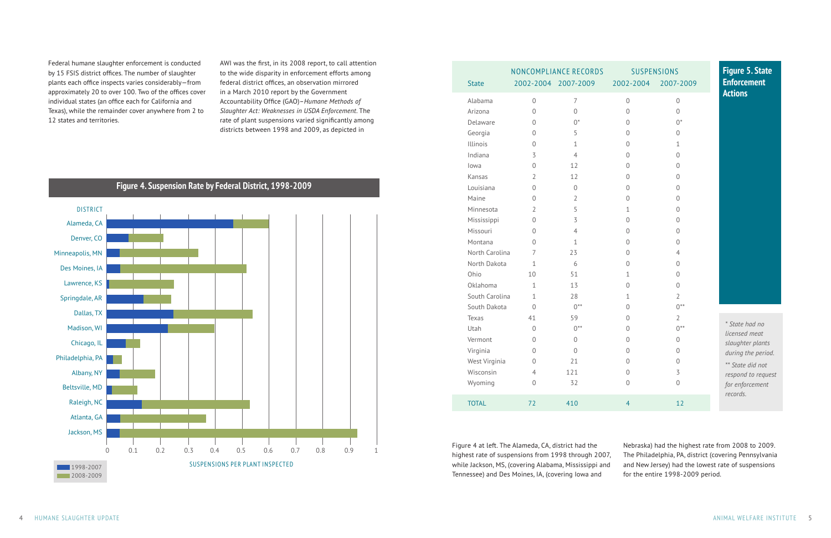Federal humane slaughter enforcement is conducted by 15 FSIS district offices. The number of slaughter plants each office inspects varies considerably—from approximately 20 to over 100. Two of the offices cover individual states (an office each for California and Texas), while the remainder cover anywhere from 2 to 12 states and territories.

AWI was the first, in its 2008 report, to call attention to the wide disparity in enforcement efforts among federal district offices, an observation mirrored in a March 2010 report by the Government Accountability Office (GAO)–*Humane Methods of Slaughter Act: Weaknesses in USDA Enforcement*. The rate of plant suspensions varied significantly among districts between 1998 and 2009, as depicted in

**Figure 4. Suspension Rate by Federal District, 1998-2009**

|                |                | NONCOMPLIANCE RECORDS |                | <b>SUSPENSIONS</b> |
|----------------|----------------|-----------------------|----------------|--------------------|
| <b>State</b>   |                | 2002-2004 2007-2009   | 2002-2004      | 2007-2009          |
| Alabama        | $\mathbf 0$    | $\overline{7}$        | $\mathbf 0$    | $\overline{0}$     |
| Arizona        | $\mathbf 0$    | $\mathbf 0$           | $\mathbf 0$    | $\mathbf 0$        |
| Delaware       | 0              | $0^*$                 | 0              | $0^*$              |
| Georgia        | 0              | 5                     | $\Omega$       | $\Omega$           |
| Illinois       | 0              | $\mathbf 1$           | $\mathbf 0$    | $\mathbf 1$        |
| Indiana        | 3              | $\overline{4}$        | $\overline{0}$ | $\overline{0}$     |
| lowa           | $\mathbf 0$    | 12                    | $\Omega$       | $\mathbf 0$        |
| Kansas         | $\overline{2}$ | 12                    | $\overline{0}$ | $\mathbf 0$        |
| Louisiana      | 0              | 0                     | $\overline{0}$ | 0                  |
| Maine          | 0              | $\overline{2}$        | $\Omega$       | 0                  |
| Minnesota      | $\overline{2}$ | 5                     | 1              | $\overline{0}$     |
| Mississippi    | 0              | 3                     | 0              | $\overline{0}$     |
| Missouri       | 0              | $\overline{4}$        | 0              | 0                  |
| Montana        | 0              | 1                     | $\overline{0}$ | $\overline{0}$     |
| North Carolina | 7              | 23                    | $\Omega$       | 4                  |
| North Dakota   | 1              | 6                     | $\Omega$       | 0                  |
| Ohio           | 10             | 51                    | 1              | $\Omega$           |
| Oklahoma       | 1              | 13                    | 0              | $\mathbf 0$        |
| South Carolina | $\mathbf{1}$   | 28                    | $\mathbf 1$    | $\overline{2}$     |
| South Dakota   | $\overline{0}$ | $0***$                | $\overline{0}$ | $0***$             |
| Texas          | 41             | 59                    | $\Omega$       | $\overline{2}$     |
| Utah           | $\overline{0}$ | $0***$                | $\mathbf 0$    | $0***$             |
| Vermont        | 0              | $\Omega$              | $\overline{0}$ | $\mathbf 0$        |
| Virginia       | $\Omega$       | $\Omega$              | $\Omega$       | $\mathbf 0$        |
| West Virginia  | $\mathbf 0$    | 21                    | $\overline{0}$ | $\overline{0}$     |
| Wisconsin      | 4              | 121                   | 0              | $\overline{5}$     |
| Wyoming        | 0              | 32                    | $\Omega$       | $\mathbf 0$        |
| <b>TOTAL</b>   | 72             | 410                   | $\overline{4}$ | 12                 |

# Alameda, CA Denver, CO Minneapolis, MN Des Moines, IA Lawrence, KS Springdale, AR Dallas, TX Madison, WI Chicago, IL Philadelphia, PA Albany, NY Beltsville, MD Raleigh, NC Atlanta, GA Jackson, MS 0 0.1 0.2 0.3 0.4 0.5 0.6 0.7 0.8 0.9 1 1998-2007 2008-2009 DISTRICT SUSPENSIONS PER PLANT INSPECTED

|                                                                                                                                                                                                                                                                                                                                                                | <b>SUSPENSIONS</b><br>002-2004 2007-2009                                                                                                                                                                                                                                                                                                         | <b>Figure 5. State</b><br><b>Enforcement</b>                                                                                                       |
|----------------------------------------------------------------------------------------------------------------------------------------------------------------------------------------------------------------------------------------------------------------------------------------------------------------------------------------------------------------|--------------------------------------------------------------------------------------------------------------------------------------------------------------------------------------------------------------------------------------------------------------------------------------------------------------------------------------------------|----------------------------------------------------------------------------------------------------------------------------------------------------|
| $\overline{0}$<br>$\overline{0}$<br>$\overline{0}$<br>$\overline{0}$<br>$\overline{0}$<br>$\overline{0}$<br>$\overline{0}$<br>$\overline{0}$<br>$\overline{0}$<br>$\overline{0}$<br>$\mathbf 1$<br>$\overline{0}$<br>$\overline{0}$<br>$\overline{0}$<br>$\overline{0}$<br>$\overline{0}$<br>$\overline{1}$<br>$\overline{0}$<br>$\mathbf 1$<br>$\overline{0}$ | $\overline{0}$<br>$\overline{0}$<br>$0^*$<br>$\overline{0}$<br>$\mathbf 1$<br>$\overline{0}$<br>$\overline{0}$<br>$\overline{0}$<br>$\overline{0}$<br>$\overline{0}$<br>$\overline{0}$<br>$\overline{0}$<br>$\overline{0}$<br>$\overline{0}$<br>$\overline{4}$<br>$\overline{0}$<br>$\overline{0}$<br>$\overline{0}$<br>$\overline{2}$<br>$0***$ | <b>Actions</b>                                                                                                                                     |
| $\overline{0}$<br>$\overline{0}$<br>$\overline{0}$<br>$\overline{0}$<br>$\overline{0}$<br>$\overline{0}$<br>$\overline{0}$                                                                                                                                                                                                                                     | $\overline{2}$<br>$0***$<br>$\overline{0}$<br>$\overline{0}$<br>$\overline{0}$<br>3<br>$\overline{0}$                                                                                                                                                                                                                                            | * State had no<br>licensed meat<br>slaughter plants<br>during the period.<br>** State did not<br>respond to request<br>for enforcement<br>records. |
| $\overline{\mathcal{A}}$                                                                                                                                                                                                                                                                                                                                       | 12                                                                                                                                                                                                                                                                                                                                               |                                                                                                                                                    |

Figure 4 at left. The Alameda, CA, district had the highest rate of suspensions from 1998 through 2007, while Jackson, MS, (covering Alabama, Mississippi and Tennessee) and Des Moines, IA, (covering Iowa and

Nebraska) had the highest rate from 2008 to 2009. The Philadelphia, PA, district (covering Pennsylvania and New Jersey) had the lowest rate of suspensions for the entire 1998-2009 period.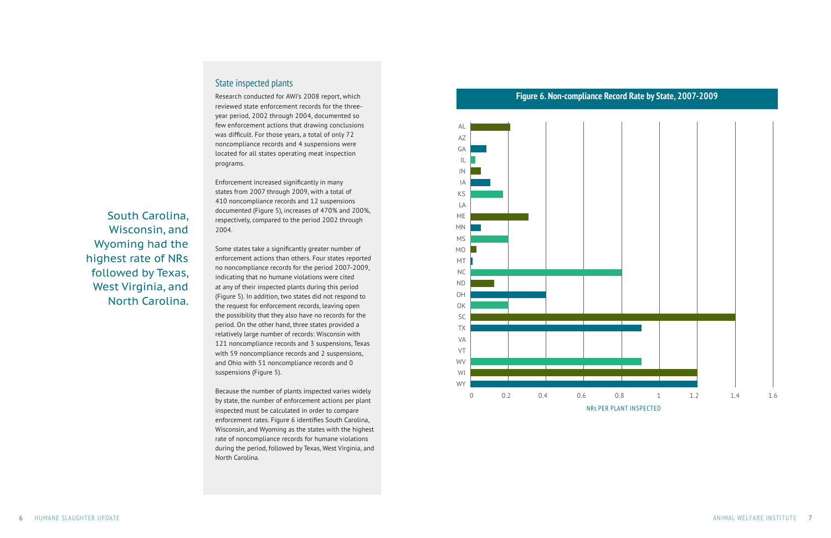South Carolina,

Wisconsin, and Wyoming had the highest rate of NRs followed by Texas, West Virginia, and North Carolina.

## State inspected plants

Research conducted for AWI's 2008 report, which reviewed state enforcement records for the threeyear period, 2002 through 2004, documented so few enforcement actions that drawing conclusions was difficult. For those years, a total of only 72 noncompliance records and 4 suspensions were located for all states operating meat inspection programs.

Enforcement increased significantly in many states from 2007 through 2009, with a total of 410 noncompliance records and 12 suspensions documented (Figure 5), increases of 470% and 200%, respectively, compared to the period 2002 through 2004.

Some states take a significantly greater number of enforcement actions than others. Four states reported no noncompliance records for the period 2007-2009, indicating that no humane violations were cited at any of their inspected plants during this period (Figure 5). In addition, two states did not respond to the request for enforcement records, leaving open the possibility that they also have no records for the period. On the other hand, three states provided a relatively large number of records: Wisconsin with 121 noncompliance records and 3 suspensions, Texas with 59 noncompliance records and 2 suspensions, and Ohio with 51 noncompliance records and 0 suspensions (Figure 5).

Because the number of plants inspected varies widely by state, the number of enforcement actions per plant inspected must be calculated in order to compare enforcement rates. Figure 6 identifies South Carolina, Wisconsin, and Wyoming as the states with the highest rate of noncompliance records for humane violations during the period, followed by Texas, West Virginia, and North Carolina.



# **Figure 6. Non-compliance Record Rate by State, 2007-2009**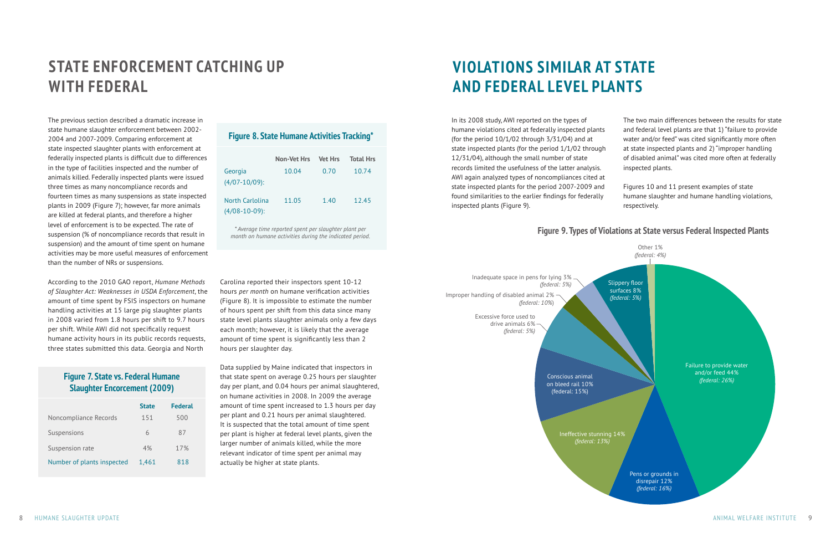# **STATE ENFORCEMENT CATCHING UP WITH FEDERAL**

The previous section described a dramatic increase in state humane slaughter enforcement between 2002- 2004 and 2007-2009. Comparing enforcement at state inspected slaughter plants with enforcement at federally inspected plants is difficult due to differences in the type of facilities inspected and the number of animals killed. Federally inspected plants were issued three times as many noncompliance records and fourteen times as many suspensions as state inspected plants in 2009 (Figure 7); however, far more animals are killed at federal plants, and therefore a higher level of enforcement is to be expected. The rate of suspension (% of noncompliance records that result in suspension) and the amount of time spent on humane activities may be more useful measures of enforcement than the number of NRs or suspensions.

According to the 2010 GAO report, *Humane Methods of Slaughter Act: Weaknesses in USDA Enforcement*, the amount of time spent by FSIS inspectors on humane handling activities at 15 large pig slaughter plants in 2008 varied from 1.8 hours per shift to 9.7 hours per shift. While AWI did not specifically request humane activity hours in its public records requests, three states submitted this data. Georgia and North

Carolina reported their inspectors spent 10-12 hours *per month* on humane verification activities (Figure 8). It is impossible to estimate the number of hours spent per shift from this data since many state level plants slaughter animals only a few days each month; however, it is likely that the average amount of time spent is significantly less than 2 hours per slaughter day.

Data supplied by Maine indicated that inspectors in that state spent on average 0.25 hours per slaughter day per plant, and 0.04 hours per animal slaughtered, on humane activities in 2008. In 2009 the average amount of time spent increased to 1.3 hours per day per plant and 0.21 hours per animal slaughtered. It is suspected that the total amount of time spent per plant is higher at federal level plants, given the larger number of animals killed, while the more relevant indicator of time spent per animal may actually be higher at state plants.

# **VIOLATIONS SIMILAR AT STATE AND FEDERAL LEVEL PLANTS**

In its 2008 study, AWI reported on the types of humane violations cited at federally inspected plants (for the period 10/1/02 through 3/31/04) and at state inspected plants (for the period 1/1/02 through 12/31/04), although the small number of state records limited the usefulness of the latter analysis. AWI again analyzed types of noncompliances cited at state inspected plants for the period 2007-2009 and found similarities to the earlier findings for federally inspected plants (Figure 9).

The two main differences between the results for state and federal level plants are that 1) "failure to provide water and/or feed" was cited significantly more often at state inspected plants and 2) "improper handling of disabled animal" was cited more often at federally inspected plants.

Figures 10 and 11 present examples of state humane slaughter and humane handling violations, respectively.

*\* Average time reported spent per slaughter plant per month on humane activities during the indicated period.*

|  | <b>Figure 8. State Humane Activities Tracking*</b> |  |  |
|--|----------------------------------------------------|--|--|
|--|----------------------------------------------------|--|--|

|                                     | <b>Non-Vet Hrs</b> | <b>Vet Hrs</b> | <b>Total Hrs</b> |
|-------------------------------------|--------------------|----------------|------------------|
| Georgia<br>$(4/07 - 10/09)$ :       | 10.04              | 0.70           | 10.74            |
| North Carlolina<br>$(4/08-10-09)$ : | 11.05              | 1.40           | 12.45            |

## **Figure 7. State vs. Federal Humane Slaughter Encorcement (2009)**

|                            | <b>State</b> | <b>Federal</b> |
|----------------------------|--------------|----------------|
| Noncompliance Records      | 151          | 500            |
| Suspensions                | 6            | 87             |
| Suspension rate            | 4%           | 17%            |
| Number of plants inspected | 1,461        | 818            |

### **Figure 9. Types of Violations at State versus Federal Inspected Plants**



on bleed rail 10% (federal: 15%) Ineffective stunning 14% *(federal: 13%)* Inadequate space in pens for lying 3% *(federal: 5%)* Improper handling of disabled animal 2% *(federal: 10%*) Excessive force used to drive animals 6% *(federal: 5%)*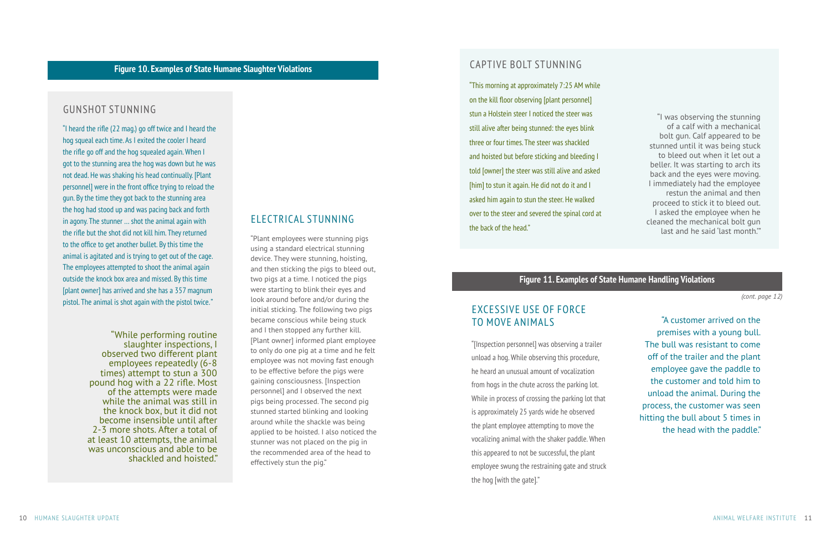"Plant employees were stunning pigs using a standard electrical stunning device. They were stunning, hoisting, and then sticking the pigs to bleed out, two pigs at a time. I noticed the pigs were starting to blink their eyes and look around before and/or during the initial sticking. The following two pigs became conscious while being stuck and I then stopped any further kill. [Plant owner] informed plant employee to only do one pig at a time and he felt employee was not moving fast enough to be effective before the pigs were gaining consciousness. [Inspection personnel] and I observed the next pigs being processed. The second pig stunned started blinking and looking around while the shackle was being applied to be hoisted. I also noticed the stunner was not placed on the pig in the recommended area of the head to effectively stun the pig."

"A customer arrived on the premises with a young bull. The bull was resistant to come off of the trailer and the plant employee gave the paddle to the customer and told him to unload the animal. During the process, the customer was seen hitting the bull about 5 times in the head with the paddle."

"I heard the rifle (22 mag.) go off twice and I heard the hog squeal each time. As I exited the cooler I heard the rifle go off and the hog squealed again. When I got to the stunning area the hog was down but he was not dead. He was shaking his head continually. [Plant personnel] were in the front office trying to reload the gun. By the time they got back to the stunning area the hog had stood up and was pacing back and forth in agony. The stunner … shot the animal again with the rifle but the shot did not kill him. They returned to the office to get another bullet. By this time the animal is agitated and is trying to get out of the cage. The employees attempted to shoot the animal again outside the knock box area and missed. By this time [plant owner] has arrived and she has a 357 magnum pistol. The animal is shot again with the pistol twice."

> "While performing routine slaughter inspections, I observed two different plant employees repeatedly (6-8 times) attempt to stun a 300 pound hog with a 22 rifle. Most of the attempts were made while the animal was still in the knock box, but it did not become insensible until after 2-3 more shots. After a total of at least 10 attempts, the animal was unconscious and able to be shackled and hoisted."

## GUNSHOT STUNNING

## **Figure 10. Examples of State Humane Slaughter Violations**

### **Figure 11. Examples of State Humane Handling Violations**

# ELECTRICAL STUNNING

# CAPTIVE BOLT STUNNING

"This morning at approximately 7:25 AM while on the kill floor observing [plant personnel] stun a Holstein steer I noticed the steer was still alive after being stunned: the eyes blink three or four times. The steer was shackled and hoisted but before sticking and bleeding I told [owner] the steer was still alive and asked [him] to stun it again. He did not do it and I asked him again to stun the steer. He walked over to the steer and severed the spinal cord at the back of the head."

"I was observing the stunning of a calf with a mechanical bolt gun. Calf appeared to be stunned until it was being stuck to bleed out when it let out a beller. It was starting to arch its back and the eyes were moving. I immediately had the employee restun the animal and then proceed to stick it to bleed out. I asked the employee when he cleaned the mechanical bolt gun last and he said 'last month.'"

# EXCESSIVE USE OF FORCE TO MOVE ANIMALS

"[Inspection personnel] was observing a trailer unload a hog. While observing this procedure, he heard an unusual amount of vocalization from hogs in the chute across the parking lot. While in process of crossing the parking lot that is approximately 25 yards wide he observed the plant employee attempting to move the vocalizing animal with the shaker paddle. When this appeared to not be successful, the plant employee swung the restraining gate and struck the hog [with the gate]."

*(cont. page 12)*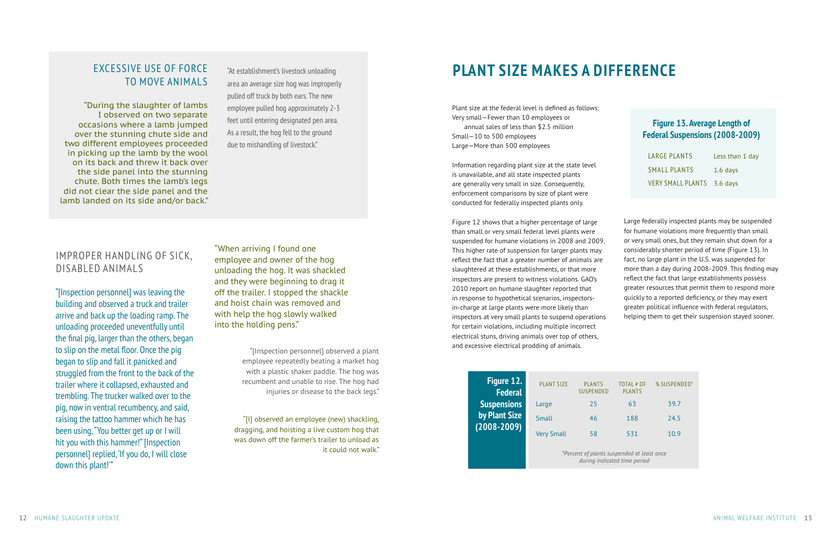Large federally inspected plants may be suspended for humane violations more frequently than small or very small ones, but they remain shut down for a considerably shorter period of time (Figure 13). In fact, no large plant in the U.S. was suspended for more than a day during 2008-2009. This finding may reflect the fact that large establishments possess greater resources that permit them to respond more quickly to a reported deficiency, or they may exert greater political influence with federal regulators, helping them to get their suspension stayed sooner.

# TO MOVE ANIMALS

"At establishment's livestock unloading area an average size hog was improperly pulled off truck by both ears. The new employee pulled hog approximately 2-3 feet until entering designated pen area. As a result, the hog fell to the ground due to mishandling of livestock."

"During the slaughter of lambs I observed on two separate occasions where a lamb jumped over the stunning chute side and two different employees proceeded in picking up the lamb by the wool on its back and threw it back over the side panel into the stunning chute. Both times the lamb's legs did not clear the side panel and the lamb landed on its side and/or back."

# IMPROPER HANDLING OF SICK, DISABLED ANIMALS

"[Inspection personnel] was leaving the building and observed a truck and trailer arrive and back up the loading ramp. The unloading proceeded uneventfully until the final pig, larger than the others, began to slip on the metal floor. Once the pig began to slip and fall it panicked and struggled from the front to the back of the trailer where it collapsed, exhausted and trembling. The trucker walked over to the pig, now in ventral recumbency, and said, raising the tattoo hammer which he has been using, "You better get up or I will hit you with this hammer!" [Inspection personnel] replied, 'If you do, I will close down this plant!'"

"[Inspection personnel] observed a plant employee repeatedly beating a market hog with a plastic shaker paddle. The hog was recumbent and unable to rise. The hog had injuries or disease to the back legs."

| Figure 12.<br><b>Federal</b>     | <b>PLANT SIZE</b> | <b>PLANTS</b><br><b>SUSPENDED</b>          | TOTAL # OF<br><b>PLANTS</b>  | % SUSPENDED* |
|----------------------------------|-------------------|--------------------------------------------|------------------------------|--------------|
| <b>Suspensions</b>               | Large             | 25                                         | 63                           | 39.7         |
| by Plant Size<br>$(2008 - 2009)$ | Small             | 46                                         | 188                          | 24.5         |
|                                  | <b>Very Small</b> | 58                                         | 531                          | 10.9         |
|                                  |                   | *Percent of plants suspended at least once | during indicated time period |              |

# **Figure 13. Average Length of Federal Suspensions (2008-2009)**

| LARGE PLANTS               | Less than 1 day |
|----------------------------|-----------------|
| <b>SMALL PLANTS</b>        | $1.6$ days      |
| VERY SMALL PLANTS 3.6 days |                 |

Plant size at the federal level is defined as follows: Very small—Fewer than 10 employees or annual sales of less than \$2.5 million Small—10 to 500 employees Large—More than 500 employees

Information regarding plant size at the state level is unavailable, and all state inspected plants are generally very small in size. Consequently, enforcement comparisons by size of plant were conducted for federally inspected plants only.

Figure 12 shows that a higher percentage of large than small or very small federal level plants were suspended for humane violations in 2008 and 2009. This higher rate of suspension for larger plants may reflect the fact that a greater number of animals are slaughtered at these establishments, or that more inspectors are present to witness violations. GAO's 2010 report on humane slaughter reported that in response to hypothetical scenarios, inspectorsin-charge at large plants were more likely than inspectors at very small plants to suspend operations for certain violations, including multiple incorrect electrical stuns, driving animals over top of others, and excessive electrical prodding of animals.

"When arriving I found one employee and owner of the hog unloading the hog. It was shackled and they were beginning to drag it off the trailer. I stopped the shackle and hoist chain was removed and with help the hog slowly walked into the holding pens."

> "[I] observed an employee (new) shackling, dragging, and hoisting a live custom hog that was down off the farmer's trailer to unload as it could not walk."

# EXCESSIVE USE OF FORCE "At establishment's livestock unloading **PLANT SIZE MAKES A DIFFERENCE**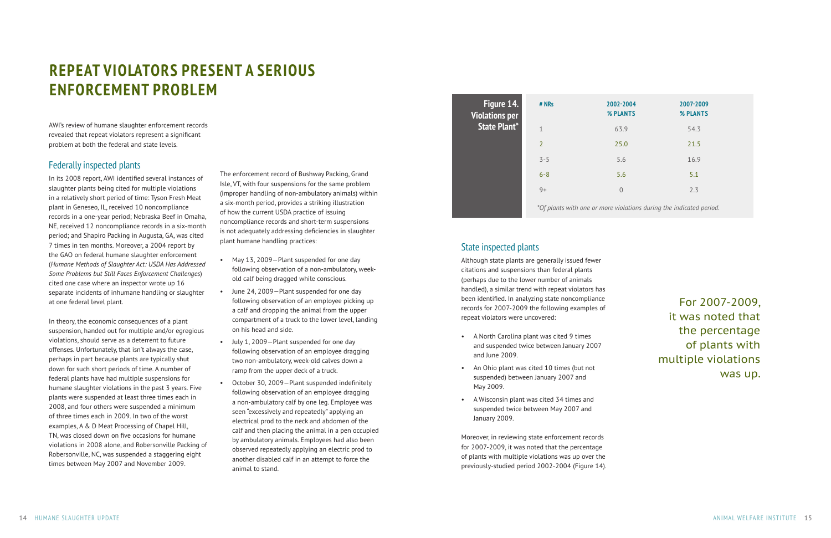# **REPEAT VIOLATORS PRESENT A SERIOUS ENFORCEMENT PROBLEM**

AWI's review of humane slaughter enforcement records revealed that repeat violators represent a significant problem at both the federal and state levels.

### Federally inspected plants

In its 2008 report, AWI identified several instances of slaughter plants being cited for multiple violations in a relatively short period of time: Tyson Fresh Meat plant in Geneseo, IL, received 10 noncompliance records in a one-year period; Nebraska Beef in Omaha, NE, received 12 noncompliance records in a six-month period; and Shapiro Packing in Augusta, GA, was cited 7 times in ten months. Moreover, a 2004 report by the GAO on federal humane slaughter enforcement (*Humane Methods of Slaughter Act: USDA Has Addressed Some Problems but Still Faces Enforcement Challenges*) cited one case where an inspector wrote up 16 separate incidents of inhumane handling or slaughter at one federal level plant.

In theory, the economic consequences of a plant suspension, handed out for multiple and/or egregious violations, should serve as a deterrent to future offenses. Unfortunately, that isn't always the case, perhaps in part because plants are typically shut down for such short periods of time. A number of federal plants have had multiple suspensions for humane slaughter violations in the past 3 years. Five plants were suspended at least three times each in 2008, and four others were suspended a minimum of three times each in 2009. In two of the worst examples, A & D Meat Processing of Chapel Hill, TN, was closed down on five occasions for humane violations in 2008 alone, and Robersonville Packing of Robersonville, NC, was suspended a staggering eight times between May 2007 and November 2009.

The enforcement record of Bushway Packing, Grand Isle, VT, with four suspensions for the same problem (improper handling of non-ambulatory animals) within a six-month period, provides a striking illustration of how the current USDA practice of issuing noncompliance records and short-term suspensions is not adequately addressing deficiencies in slaughter plant humane handling practices:

- May 13, 2009—Plant suspended for one day following observation of a non-ambulatory, weekold calf being dragged while conscious.
- June 24, 2009—Plant suspended for one day following observation of an employee picking up a calf and dropping the animal from the upper compartment of a truck to the lower level, landing on his head and side.
- July 1, 2009—Plant suspended for one day following observation of an employee dragging two non-ambulatory, week-old calves down a ramp from the upper deck of a truck.
- October 30, 2009—Plant suspended indefinitely following observation of an employee dragging a non-ambulatory calf by one leg. Employee was seen "excessively and repeatedly" applying an electrical prod to the neck and abdomen of the calf and then placing the animal in a pen occupied by ambulatory animals. Employees had also been observed repeatedly applying an electric prod to another disabled calf in an attempt to force the animal to stand.

# State inspected plants

Although state plants are generally issued fewer citations and suspensions than federal plants (perhaps due to the lower number of animals handled), a similar trend with repeat violators has been identified. In analyzing state noncompliance records for 2007-2009 the following examples of repeat violators were uncovered:

- A North Carolina plant was cited 9 times and suspended twice between January 2007 and June 2009.
- An Ohio plant was cited 10 times (but not suspended) between January 2007 and May 2009.
- A Wisconsin plant was cited 34 times and suspended twice between May 2007 and January 2009.

Moreover, in reviewing state enforcement records for 2007-2009, it was noted that the percentage of plants with multiple violations was up over the previously-studied period 2002-2004 (Figure 14).



*\*Of plants with one or more violations during the indicated period.* 

| # NRs          | 2002-2004<br>% PLANTS | 2007-2009<br>% PLANTS |  |
|----------------|-----------------------|-----------------------|--|
| $\mathbf 1$    | 63.9                  | 54.3                  |  |
| $\overline{2}$ | 25.0                  | 21.5                  |  |
| $3 - 5$        | 5.6                   | 16.9                  |  |
| $6 - 8$        | 5.6                   | 5.1                   |  |
| $9+$           | $\overline{0}$        | 2.3                   |  |
|                |                       |                       |  |

For 2007-2009, it was noted that the percentage of plants with multiple violations was up.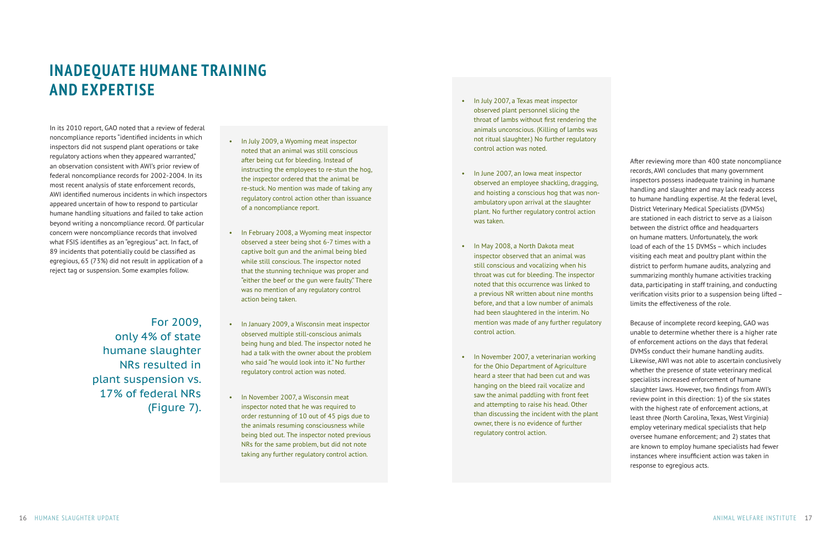# **INADEQUATE HUMANE TRAINING AND EXPERTISE**

In its 2010 report, GAO noted that a review of federal noncompliance reports "identified incidents in which inspectors did not suspend plant operations or take regulatory actions when they appeared warranted," an observation consistent with AWI's prior review of federal noncompliance records for 2002-2004. In its most recent analysis of state enforcement records, AWI identified numerous incidents in which inspectors appeared uncertain of how to respond to particular humane handling situations and failed to take action beyond writing a noncompliance record. Of particular concern were noncompliance records that involved what FSIS identifies as an "egregious" act. In fact, of 89 incidents that potentially could be classified as egregious, 65 (73%) did not result in application of a reject tag or suspension. Some examples follow.

After reviewing more than 400 state noncompliance records, AWI concludes that many government inspectors possess inadequate training in humane handling and slaughter and may lack ready access to humane handling expertise. At the federal level, District Veterinary Medical Specialists (DVMSs) are stationed in each district to serve as a liaison between the district office and headquarters on humane matters. Unfortunately, the work load of each of the 15 DVMSs – which includes visiting each meat and poultry plant within the district to perform humane audits, analyzing and summarizing monthly humane activities tracking data, participating in staff training, and conducting verification visits prior to a suspension being lifted – limits the effectiveness of the role.

Because of incomplete record keeping, GAO was unable to determine whether there is a higher rate of enforcement actions on the days that federal DVMSs conduct their humane handling audits. Likewise, AWI was not able to ascertain conclusively whether the presence of state veterinary medical specialists increased enforcement of humane slaughter laws. However, two findings from AWI's review point in this direction: 1) of the six states with the highest rate of enforcement actions, at least three (North Carolina, Texas, West Virginia) employ veterinary medical specialists that help oversee humane enforcement; and 2) states that are known to employ humane specialists had fewer instances where insufficient action was taken in response to egregious acts.

- In July 2009, a Wyoming meat inspector noted that an animal was still conscious after being cut for bleeding. Instead of instructing the employees to re-stun the hog, the inspector ordered that the animal be re-stuck. No mention was made of taking any regulatory control action other than issuance of a noncompliance report.
- In February 2008, a Wyoming meat inspector observed a steer being shot 6-7 times with a captive bolt gun and the animal being bled while still conscious. The inspector noted that the stunning technique was proper and "either the beef or the gun were faulty." There was no mention of any regulatory control action being taken.
- In January 2009, a Wisconsin meat inspector observed multiple still-conscious animals being hung and bled. The inspector noted he had a talk with the owner about the problem who said "he would look into it." No further regulatory control action was noted.
- In November 2007, a Wisconsin meat inspector noted that he was required to order restunning of 10 out of 45 pigs due to the animals resuming consciousness while being bled out. The inspector noted previous NRs for the same problem, but did not note taking any further regulatory control action.
- In July 2007, a Texas meat inspector observed plant personnel slicing the throat of lambs without first rendering the animals unconscious. (Killing of lambs was not ritual slaughter.) No further regulatory control action was noted.
- In June 2007, an Iowa meat inspector observed an employee shackling, dragging, and hoisting a conscious hog that was nonambulatory upon arrival at the slaughter plant. No further regulatory control action was taken.
- In May 2008, a North Dakota meat inspector observed that an animal was still conscious and vocalizing when his throat was cut for bleeding. The inspector noted that this occurrence was linked to a previous NR written about nine months before, and that a low number of animals had been slaughtered in the interim. No mention was made of any further regulatory control action.
- In November 2007, a veterinarian working for the Ohio Department of Agriculture heard a steer that had been cut and was hanging on the bleed rail vocalize and saw the animal paddling with front feet and attempting to raise his head. Other than discussing the incident with the plant owner, there is no evidence of further regulatory control action.

For 2009, only 4% of state humane slaughter NRs resulted in plant suspension vs. 17% of federal NRs (Figure 7).